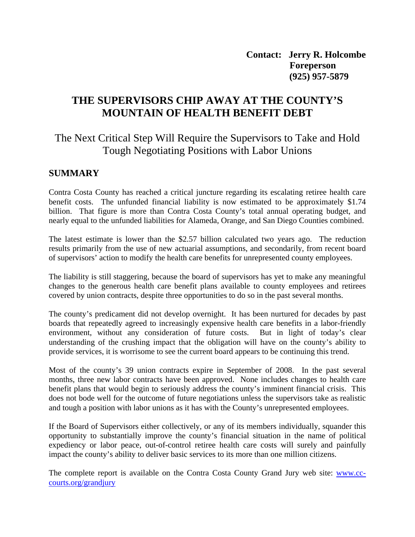**Contact: Jerry R. Holcombe Foreperson (925) 957-5879** 

# **THE SUPERVISORS CHIP AWAY AT THE COUNTY'S MOUNTAIN OF HEALTH BENEFIT DEBT**

# The Next Critical Step Will Require the Supervisors to Take and Hold Tough Negotiating Positions with Labor Unions

### **SUMMARY**

Contra Costa County has reached a critical juncture regarding its escalating retiree health care benefit costs. The unfunded financial liability is now estimated to be approximately \$1.74 billion. That figure is more than Contra Costa County's total annual operating budget, and nearly equal to the unfunded liabilities for Alameda, Orange, and San Diego Counties combined.

The latest estimate is lower than the \$2.57 billion calculated two years ago. The reduction results primarily from the use of new actuarial assumptions, and secondarily, from recent board of supervisors' action to modify the health care benefits for unrepresented county employees.

The liability is still staggering, because the board of supervisors has yet to make any meaningful changes to the generous health care benefit plans available to county employees and retirees covered by union contracts, despite three opportunities to do so in the past several months.

The county's predicament did not develop overnight. It has been nurtured for decades by past boards that repeatedly agreed to increasingly expensive health care benefits in a labor-friendly environment, without any consideration of future costs. But in light of today's clear understanding of the crushing impact that the obligation will have on the county's ability to provide services, it is worrisome to see the current board appears to be continuing this trend.

Most of the county's 39 union contracts expire in September of 2008. In the past several months, three new labor contracts have been approved. None includes changes to health care benefit plans that would begin to seriously address the county's imminent financial crisis. This does not bode well for the outcome of future negotiations unless the supervisors take as realistic and tough a position with labor unions as it has with the County's unrepresented employees.

If the Board of Supervisors either collectively, or any of its members individually, squander this opportunity to substantially improve the county's financial situation in the name of political expediency or labor peace, out-of-control retiree health care costs will surely and painfully impact the county's ability to deliver basic services to its more than one million citizens.

The complete report is available on the Contra Costa County Grand Jury web site: [www.cc](http://www.cc-courts.org/grandjury)[courts.org/grandjury](http://www.cc-courts.org/grandjury)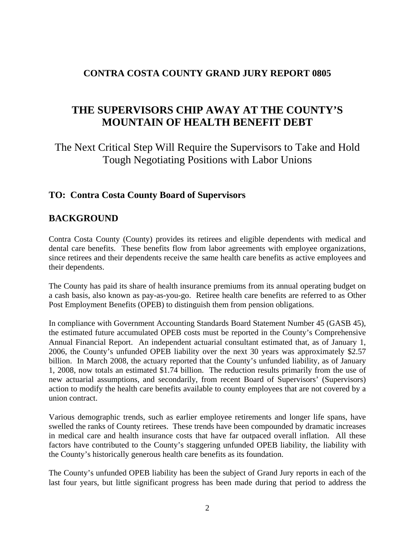### **CONTRA COSTA COUNTY GRAND JURY REPORT 0805**

# **THE SUPERVISORS CHIP AWAY AT THE COUNTY'S MOUNTAIN OF HEALTH BENEFIT DEBT**

The Next Critical Step Will Require the Supervisors to Take and Hold Tough Negotiating Positions with Labor Unions

## **TO: Contra Costa County Board of Supervisors**

### **BACKGROUND**

Contra Costa County (County) provides its retirees and eligible dependents with medical and dental care benefits. These benefits flow from labor agreements with employee organizations, since retirees and their dependents receive the same health care benefits as active employees and their dependents.

The County has paid its share of health insurance premiums from its annual operating budget on a cash basis, also known as pay-as-you-go. Retiree health care benefits are referred to as Other Post Employment Benefits (OPEB) to distinguish them from pension obligations.

In compliance with Government Accounting Standards Board Statement Number 45 (GASB 45), the estimated future accumulated OPEB costs must be reported in the County's Comprehensive Annual Financial Report. An independent actuarial consultant estimated that, as of January 1, 2006, the County's unfunded OPEB liability over the next 30 years was approximately \$2.57 billion. In March 2008, the actuary reported that the County's unfunded liability, as of January 1, 2008, now totals an estimated \$1.74 billion. The reduction results primarily from the use of new actuarial assumptions, and secondarily, from recent Board of Supervisors' (Supervisors) action to modify the health care benefits available to county employees that are not covered by a union contract.

Various demographic trends, such as earlier employee retirements and longer life spans, have swelled the ranks of County retirees. These trends have been compounded by dramatic increases in medical care and health insurance costs that have far outpaced overall inflation. All these factors have contributed to the County's staggering unfunded OPEB liability, the liability with the County's historically generous health care benefits as its foundation.

The County's unfunded OPEB liability has been the subject of Grand Jury reports in each of the last four years, but little significant progress has been made during that period to address the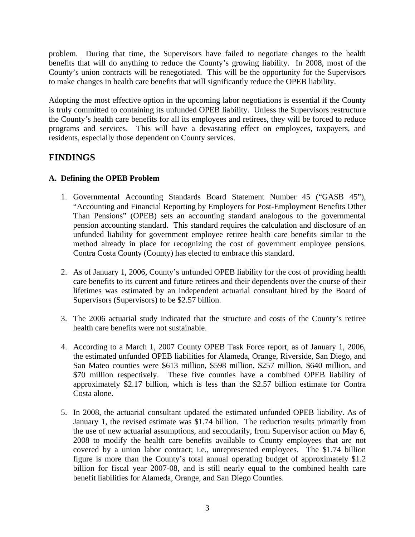problem. During that time, the Supervisors have failed to negotiate changes to the health benefits that will do anything to reduce the County's growing liability. In 2008, most of the County's union contracts will be renegotiated. This will be the opportunity for the Supervisors to make changes in health care benefits that will significantly reduce the OPEB liability.

Adopting the most effective option in the upcoming labor negotiations is essential if the County is truly committed to containing its unfunded OPEB liability. Unless the Supervisors restructure the County's health care benefits for all its employees and retirees, they will be forced to reduce programs and services. This will have a devastating effect on employees, taxpayers, and residents, especially those dependent on County services.

## **FINDINGS**

#### **A. Defining the OPEB Problem**

- 1. Governmental Accounting Standards Board Statement Number 45 ("GASB 45"), "Accounting and Financial Reporting by Employers for Post-Employment Benefits Other Than Pensions" (OPEB) sets an accounting standard analogous to the governmental pension accounting standard. This standard requires the calculation and disclosure of an unfunded liability for government employee retiree health care benefits similar to the method already in place for recognizing the cost of government employee pensions. Contra Costa County (County) has elected to embrace this standard.
- 2. As of January 1, 2006, County's unfunded OPEB liability for the cost of providing health care benefits to its current and future retirees and their dependents over the course of their lifetimes was estimated by an independent actuarial consultant hired by the Board of Supervisors (Supervisors) to be \$2.57 billion.
- 3. The 2006 actuarial study indicated that the structure and costs of the County's retiree health care benefits were not sustainable.
- 4. According to a March 1, 2007 County OPEB Task Force report, as of January 1, 2006, the estimated unfunded OPEB liabilities for Alameda, Orange, Riverside, San Diego, and San Mateo counties were \$613 million, \$598 million, \$257 million, \$640 million, and \$70 million respectively. These five counties have a combined OPEB liability of approximately \$2.17 billion, which is less than the \$2.57 billion estimate for Contra Costa alone.
- 5. In 2008, the actuarial consultant updated the estimated unfunded OPEB liability. As of January 1, the revised estimate was \$1.74 billion. The reduction results primarily from the use of new actuarial assumptions, and secondarily, from Supervisor action on May 6, 2008 to modify the health care benefits available to County employees that are not covered by a union labor contract; i.e., unrepresented employees. The \$1.74 billion figure is more than the County's total annual operating budget of approximately \$1.2 billion for fiscal year 2007-08, and is still nearly equal to the combined health care benefit liabilities for Alameda, Orange, and San Diego Counties.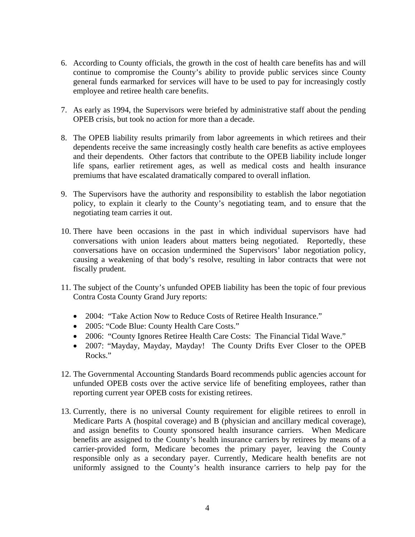- 6. According to County officials, the growth in the cost of health care benefits has and will continue to compromise the County's ability to provide public services since County general funds earmarked for services will have to be used to pay for increasingly costly employee and retiree health care benefits.
- 7. As early as 1994, the Supervisors were briefed by administrative staff about the pending OPEB crisis, but took no action for more than a decade.
- 8. The OPEB liability results primarily from labor agreements in which retirees and their dependents receive the same increasingly costly health care benefits as active employees and their dependents. Other factors that contribute to the OPEB liability include longer life spans, earlier retirement ages, as well as medical costs and health insurance premiums that have escalated dramatically compared to overall inflation*.*
- 9. The Supervisors have the authority and responsibility to establish the labor negotiation policy, to explain it clearly to the County's negotiating team, and to ensure that the negotiating team carries it out.
- 10. There have been occasions in the past in which individual supervisors have had conversations with union leaders about matters being negotiated. Reportedly, these conversations have on occasion undermined the Supervisors' labor negotiation policy, causing a weakening of that body's resolve, resulting in labor contracts that were not fiscally prudent.
- 11. The subject of the County's unfunded OPEB liability has been the topic of four previous Contra Costa County Grand Jury reports:
	- 2004: "Take Action Now to Reduce Costs of Retiree Health Insurance."
	- 2005: "Code Blue: County Health Care Costs."
	- 2006: "County Ignores Retiree Health Care Costs: The Financial Tidal Wave."
	- 2007: "Mayday, Mayday, Mayday! The County Drifts Ever Closer to the OPEB Rocks."
- 12. The Governmental Accounting Standards Board recommends public agencies account for unfunded OPEB costs over the active service life of benefiting employees, rather than reporting current year OPEB costs for existing retirees.
- 13. Currently, there is no universal County requirement for eligible retirees to enroll in Medicare Parts A (hospital coverage) and B (physician and ancillary medical coverage), and assign benefits to County sponsored health insurance carriers. When Medicare benefits are assigned to the County's health insurance carriers by retirees by means of a carrier-provided form, Medicare becomes the primary payer, leaving the County responsible only as a secondary payer. Currently, Medicare health benefits are not uniformly assigned to the County's health insurance carriers to help pay for the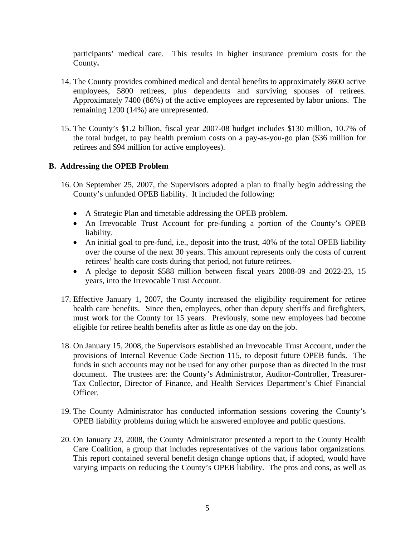participants' medical care. This results in higher insurance premium costs for the County**.** 

- 14. The County provides combined medical and dental benefits to approximately 8600 active employees, 5800 retirees, plus dependents and surviving spouses of retirees. Approximately 7400 (86%) of the active employees are represented by labor unions. The remaining 1200 (14%) are unrepresented.
- 15. The County's \$1.2 billion, fiscal year 2007-08 budget includes \$130 million, 10.7% of the total budget, to pay health premium costs on a pay-as-you-go plan (\$36 million for retirees and \$94 million for active employees).

#### **B. Addressing the OPEB Problem**

- 16. On September 25, 2007, the Supervisors adopted a plan to finally begin addressing the County's unfunded OPEB liability. It included the following:
	- A Strategic Plan and timetable addressing the OPEB problem.
	- An Irrevocable Trust Account for pre-funding a portion of the County's OPEB liability.
	- An initial goal to pre-fund, i.e., deposit into the trust, 40% of the total OPEB liability over the course of the next 30 years. This amount represents only the costs of current retirees' health care costs during that period, not future retirees.
	- A pledge to deposit \$588 million between fiscal years 2008-09 and 2022-23, 15 years, into the Irrevocable Trust Account.
- 17. Effective January 1, 2007, the County increased the eligibility requirement for retiree health care benefits. Since then, employees, other than deputy sheriffs and firefighters, must work for the County for 15 years. Previously, some new employees had become eligible for retiree health benefits after as little as one day on the job.
- 18. On January 15, 2008, the Supervisors established an Irrevocable Trust Account, under the provisions of Internal Revenue Code Section 115, to deposit future OPEB funds. The funds in such accounts may not be used for any other purpose than as directed in the trust document. The trustees are: the County's Administrator, Auditor-Controller, Treasurer-Tax Collector, Director of Finance, and Health Services Department's Chief Financial Officer.
- 19. The County Administrator has conducted information sessions covering the County's OPEB liability problems during which he answered employee and public questions.
- 20. On January 23, 2008, the County Administrator presented a report to the County Health Care Coalition, a group that includes representatives of the various labor organizations. This report contained several benefit design change options that, if adopted, would have varying impacts on reducing the County's OPEB liability. The pros and cons, as well as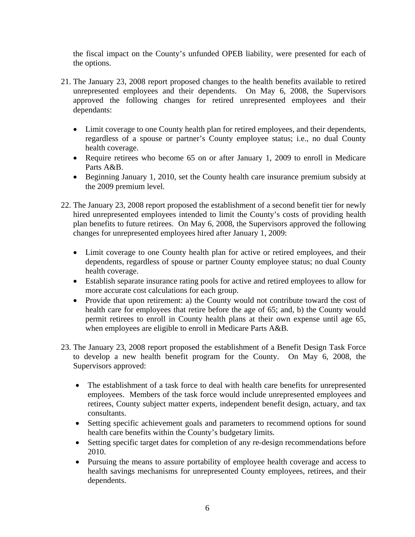the fiscal impact on the County's unfunded OPEB liability, were presented for each of the options.

- 21. The January 23, 2008 report proposed changes to the health benefits available to retired unrepresented employees and their dependents. On May 6, 2008, the Supervisors approved the following changes for retired unrepresented employees and their dependants:
	- Limit coverage to one County health plan for retired employees, and their dependents, regardless of a spouse or partner's County employee status; i.e., no dual County health coverage.
	- Require retirees who become 65 on or after January 1, 2009 to enroll in Medicare Parts A&B.
	- Beginning January 1, 2010, set the County health care insurance premium subsidy at the 2009 premium level.
- 22. The January 23, 2008 report proposed the establishment of a second benefit tier for newly hired unrepresented employees intended to limit the County's costs of providing health plan benefits to future retirees. On May 6, 2008, the Supervisors approved the following changes for unrepresented employees hired after January 1, 2009:
	- Limit coverage to one County health plan for active or retired employees, and their dependents, regardless of spouse or partner County employee status; no dual County health coverage.
	- Establish separate insurance rating pools for active and retired employees to allow for more accurate cost calculations for each group.
	- Provide that upon retirement: a) the County would not contribute toward the cost of health care for employees that retire before the age of 65; and, b) the County would permit retirees to enroll in County health plans at their own expense until age 65, when employees are eligible to enroll in Medicare Parts A&B.
- 23. The January 23, 2008 report proposed the establishment of a Benefit Design Task Force to develop a new health benefit program for the County. On May 6, 2008, the Supervisors approved:
	- The establishment of a task force to deal with health care benefits for unrepresented employees. Members of the task force would include unrepresented employees and retirees, County subject matter experts, independent benefit design, actuary, and tax consultants.
	- Setting specific achievement goals and parameters to recommend options for sound health care benefits within the County's budgetary limits.
	- Setting specific target dates for completion of any re-design recommendations before 2010.
	- Pursuing the means to assure portability of employee health coverage and access to health savings mechanisms for unrepresented County employees, retirees, and their dependents.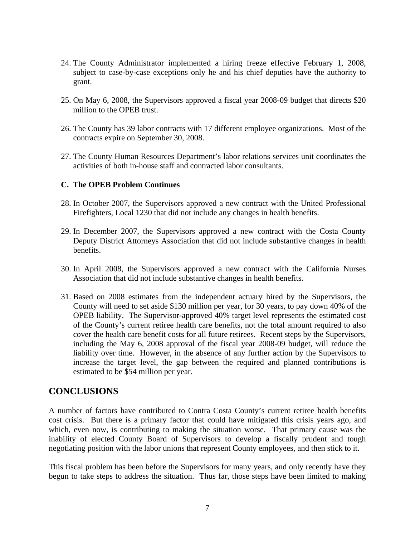- 24. The County Administrator implemented a hiring freeze effective February 1, 2008, subject to case-by-case exceptions only he and his chief deputies have the authority to grant.
- 25. On May 6, 2008, the Supervisors approved a fiscal year 2008-09 budget that directs \$20 million to the OPEB trust.
- 26. The County has 39 labor contracts with 17 different employee organizations. Most of the contracts expire on September 30, 2008.
- 27. The County Human Resources Department's labor relations services unit coordinates the activities of both in-house staff and contracted labor consultants.

#### **C. The OPEB Problem Continues**

- 28. In October 2007, the Supervisors approved a new contract with the United Professional Firefighters, Local 1230 that did not include any changes in health benefits.
- 29. In December 2007, the Supervisors approved a new contract with the Costa County Deputy District Attorneys Association that did not include substantive changes in health benefits.
- 30. In April 2008, the Supervisors approved a new contract with the California Nurses Association that did not include substantive changes in health benefits.
- 31. Based on 2008 estimates from the independent actuary hired by the Supervisors, the County will need to set aside \$130 million per year, for 30 years, to pay down 40% of the OPEB liability. The Supervisor-approved 40% target level represents the estimated cost of the County's current retiree health care benefits, not the total amount required to also cover the health care benefit costs for all future retirees. Recent steps by the Supervisors, including the May 6, 2008 approval of the fiscal year 2008-09 budget, will reduce the liability over time. However, in the absence of any further action by the Supervisors to increase the target level, the gap between the required and planned contributions is estimated to be \$54 million per year.

### **CONCLUSIONS**

A number of factors have contributed to Contra Costa County's current retiree health benefits cost crisis. But there is a primary factor that could have mitigated this crisis years ago, and which, even now, is contributing to making the situation worse. That primary cause was the inability of elected County Board of Supervisors to develop a fiscally prudent and tough negotiating position with the labor unions that represent County employees, and then stick to it.

This fiscal problem has been before the Supervisors for many years, and only recently have they begun to take steps to address the situation. Thus far, those steps have been limited to making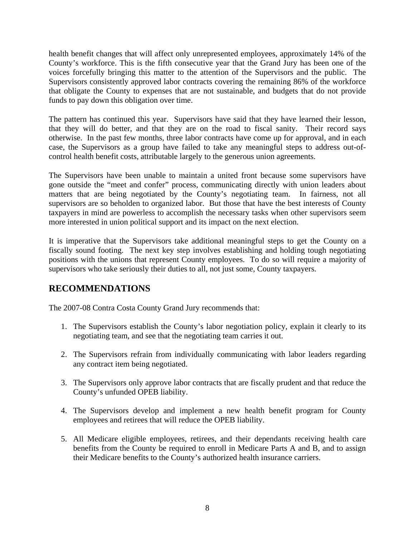health benefit changes that will affect only unrepresented employees, approximately 14% of the County's workforce. This is the fifth consecutive year that the Grand Jury has been one of the voices forcefully bringing this matter to the attention of the Supervisors and the public. The Supervisors consistently approved labor contracts covering the remaining 86% of the workforce that obligate the County to expenses that are not sustainable, and budgets that do not provide funds to pay down this obligation over time.

The pattern has continued this year. Supervisors have said that they have learned their lesson, that they will do better, and that they are on the road to fiscal sanity. Their record says otherwise. In the past few months, three labor contracts have come up for approval, and in each case, the Supervisors as a group have failed to take any meaningful steps to address out-ofcontrol health benefit costs, attributable largely to the generous union agreements.

The Supervisors have been unable to maintain a united front because some supervisors have gone outside the "meet and confer" process, communicating directly with union leaders about matters that are being negotiated by the County's negotiating team. In fairness, not all supervisors are so beholden to organized labor. But those that have the best interests of County taxpayers in mind are powerless to accomplish the necessary tasks when other supervisors seem more interested in union political support and its impact on the next election.

It is imperative that the Supervisors take additional meaningful steps to get the County on a fiscally sound footing. The next key step involves establishing and holding tough negotiating positions with the unions that represent County employees. To do so will require a majority of supervisors who take seriously their duties to all, not just some, County taxpayers.

# **RECOMMENDATIONS**

The 2007-08 Contra Costa County Grand Jury recommends that:

- 1. The Supervisors establish the County's labor negotiation policy, explain it clearly to its negotiating team, and see that the negotiating team carries it out.
- 2. The Supervisors refrain from individually communicating with labor leaders regarding any contract item being negotiated.
- 3. The Supervisors only approve labor contracts that are fiscally prudent and that reduce the County's unfunded OPEB liability.
- 4. The Supervisors develop and implement a new health benefit program for County employees and retirees that will reduce the OPEB liability.
- 5. All Medicare eligible employees, retirees, and their dependants receiving health care benefits from the County be required to enroll in Medicare Parts A and B, and to assign their Medicare benefits to the County's authorized health insurance carriers.